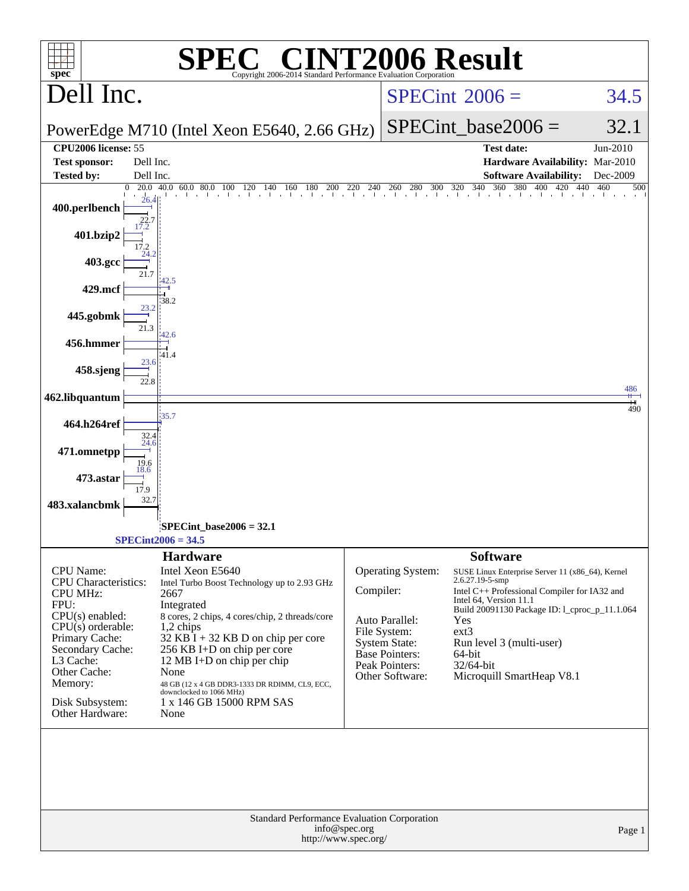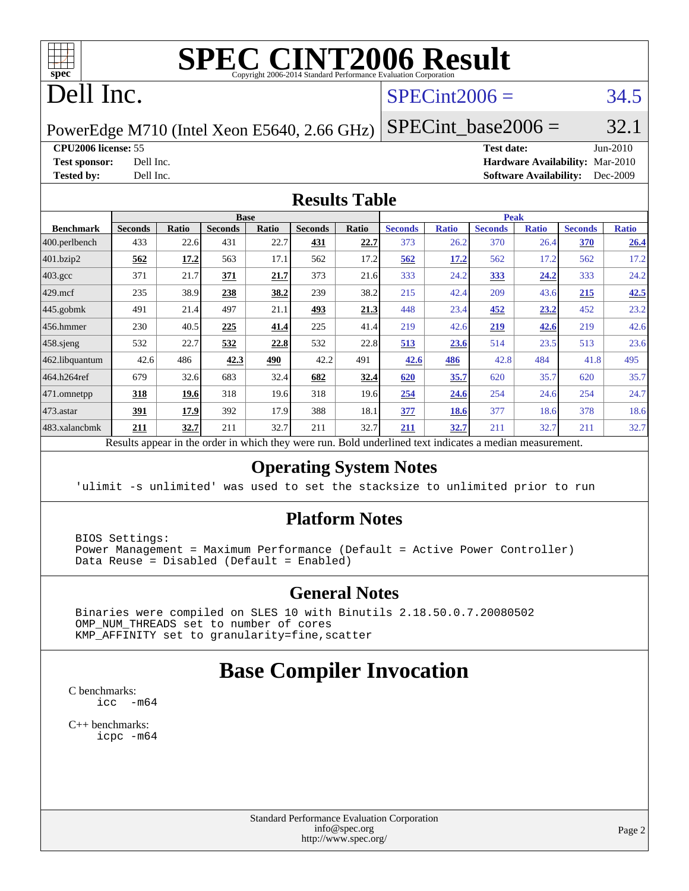

# **[SPEC CINT2006 Result](http://www.spec.org/auto/cpu2006/Docs/result-fields.html#SPECCINT2006Result)**

# Dell Inc.

#### $SPECint2006 = 34.5$  $SPECint2006 = 34.5$

PowerEdge M710 (Intel Xeon E5640, 2.66 GHz)

 $SPECTnt\_base2006 = 32.1$ 

**[CPU2006 license:](http://www.spec.org/auto/cpu2006/Docs/result-fields.html#CPU2006license)** 55 **[Test date:](http://www.spec.org/auto/cpu2006/Docs/result-fields.html#Testdate)** Jun-2010

**[Test sponsor:](http://www.spec.org/auto/cpu2006/Docs/result-fields.html#Testsponsor)** Dell Inc. **[Hardware Availability:](http://www.spec.org/auto/cpu2006/Docs/result-fields.html#HardwareAvailability)** Mar-2010 **[Tested by:](http://www.spec.org/auto/cpu2006/Docs/result-fields.html#Testedby)** Dell Inc. **[Software Availability:](http://www.spec.org/auto/cpu2006/Docs/result-fields.html#SoftwareAvailability)** Dec-2009

#### **[Results Table](http://www.spec.org/auto/cpu2006/Docs/result-fields.html#ResultsTable)**

|                    |                |              | <b>Base</b>    |              |                |       |                |              | <b>Peak</b>    |              |                |              |
|--------------------|----------------|--------------|----------------|--------------|----------------|-------|----------------|--------------|----------------|--------------|----------------|--------------|
| <b>Benchmark</b>   | <b>Seconds</b> | <b>Ratio</b> | <b>Seconds</b> | <b>Ratio</b> | <b>Seconds</b> | Ratio | <b>Seconds</b> | <b>Ratio</b> | <b>Seconds</b> | <b>Ratio</b> | <b>Seconds</b> | <b>Ratio</b> |
| $ 400$ .perlbench  | 433            | 22.6         | 431            | 22.7         | <u>431</u>     | 22.7  | 373            | 26.2         | 370            | 26.4         | <b>370</b>     | 26.4         |
| 401.bzip2          | 562            | 17.2         | 563            | 17.1         | 562            | 17.2  | 562            | 17.2         | 562            | 17.2         | 562            | 17.2         |
| $403.\mathrm{gcc}$ | 371            | 21.7         | 371            | 21.7         | 373            | 21.6  | 333            | 24.2         | 333            | 24.2         | 333            | 24.2         |
| $429$ .mcf         | 235            | 38.9         | 238            | 38.2         | 239            | 38.2  | 215            | 42.4         | 209            | 43.6         | 215            | 42.5         |
| $445$ .gobmk       | 491            | 21.4         | 497            | 21.1         | 493            | 21.3  | 448            | 23.4         | 452            | <u>23.2</u>  | 452            | 23.2         |
| $ 456$ .hmmer      | 230            | 40.5         | 225            | 41.4         | 225            | 41.4  | 219            | 42.6         | 219            | 42.6         | 219            | 42.6         |
| $458$ .sjeng       | 532            | 22.7         | 532            | 22.8         | 532            | 22.8  | 513            | 23.6         | 514            | 23.5         | 513            | 23.6         |
| 462.libquantum     | 42.6           | 486          | 42.3           | 490          | 42.2           | 491   | 42.6           | 486          | 42.8           | 484          | 41.8           | 495          |
| 464.h264ref        | 679            | 32.6         | 683            | 32.4         | 682            | 32.4  | 620            | 35.7         | 620            | 35.7         | 620            | 35.7         |
| 471.omnetpp        | 318            | 19.6         | 318            | 19.6         | 318            | 19.6  | 254            | 24.6         | 254            | 24.6         | 254            | 24.7         |
| $473$ . astar      | 391            | 17.9         | 392            | 17.9         | 388            | 18.1  | 377            | 18.6         | 377            | 18.6         | 378            | 18.6         |
| 483.xalancbmk      | 211            | 32.7         | 211            | 32.7         | 211            | 32.7  | 211            | 32.7         | 211            | 32.7         | 211            | 32.7         |

Results appear in the [order in which they were run.](http://www.spec.org/auto/cpu2006/Docs/result-fields.html#RunOrder) Bold underlined text [indicates a median measurement.](http://www.spec.org/auto/cpu2006/Docs/result-fields.html#Median)

#### **[Operating System Notes](http://www.spec.org/auto/cpu2006/Docs/result-fields.html#OperatingSystemNotes)**

'ulimit -s unlimited' was used to set the stacksize to unlimited prior to run

#### **[Platform Notes](http://www.spec.org/auto/cpu2006/Docs/result-fields.html#PlatformNotes)**

 BIOS Settings: Power Management = Maximum Performance (Default = Active Power Controller) Data Reuse = Disabled (Default = Enabled)

#### **[General Notes](http://www.spec.org/auto/cpu2006/Docs/result-fields.html#GeneralNotes)**

 Binaries were compiled on SLES 10 with Binutils 2.18.50.0.7.20080502 OMP\_NUM\_THREADS set to number of cores KMP\_AFFINITY set to granularity=fine,scatter

### **[Base Compiler Invocation](http://www.spec.org/auto/cpu2006/Docs/result-fields.html#BaseCompilerInvocation)**

[C benchmarks](http://www.spec.org/auto/cpu2006/Docs/result-fields.html#Cbenchmarks): [icc -m64](http://www.spec.org/cpu2006/results/res2010q3/cpu2006-20100719-12590.flags.html#user_CCbase_intel_icc_64bit_f346026e86af2a669e726fe758c88044)

[C++ benchmarks:](http://www.spec.org/auto/cpu2006/Docs/result-fields.html#CXXbenchmarks) [icpc -m64](http://www.spec.org/cpu2006/results/res2010q3/cpu2006-20100719-12590.flags.html#user_CXXbase_intel_icpc_64bit_fc66a5337ce925472a5c54ad6a0de310)

> Standard Performance Evaluation Corporation [info@spec.org](mailto:info@spec.org) <http://www.spec.org/>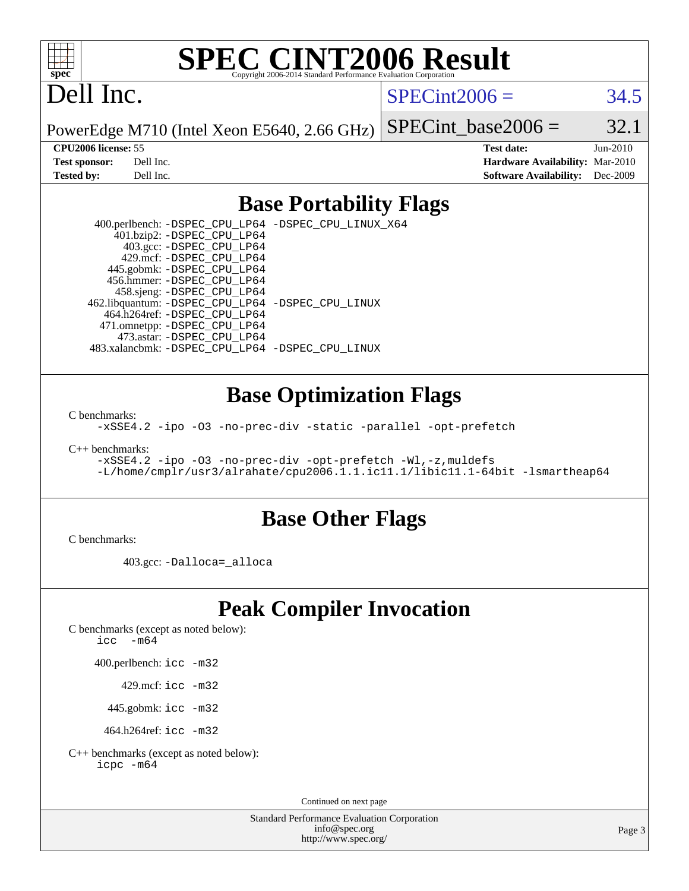

# **[SPEC CINT2006 Result](http://www.spec.org/auto/cpu2006/Docs/result-fields.html#SPECCINT2006Result)**

# Dell Inc.

 $SPECint2006 = 34.5$  $SPECint2006 = 34.5$ 

PowerEdge M710 (Intel Xeon E5640, 2.66 GHz)

SPECint base2006 =  $32.1$ 

**[CPU2006 license:](http://www.spec.org/auto/cpu2006/Docs/result-fields.html#CPU2006license)** 55 **[Test date:](http://www.spec.org/auto/cpu2006/Docs/result-fields.html#Testdate)** Jun-2010 **[Test sponsor:](http://www.spec.org/auto/cpu2006/Docs/result-fields.html#Testsponsor)** Dell Inc. **[Hardware Availability:](http://www.spec.org/auto/cpu2006/Docs/result-fields.html#HardwareAvailability)** Mar-2010 **[Tested by:](http://www.spec.org/auto/cpu2006/Docs/result-fields.html#Testedby)** Dell Inc. **[Software Availability:](http://www.spec.org/auto/cpu2006/Docs/result-fields.html#SoftwareAvailability)** Dec-2009

#### **[Base Portability Flags](http://www.spec.org/auto/cpu2006/Docs/result-fields.html#BasePortabilityFlags)**

 400.perlbench: [-DSPEC\\_CPU\\_LP64](http://www.spec.org/cpu2006/results/res2010q3/cpu2006-20100719-12590.flags.html#b400.perlbench_basePORTABILITY_DSPEC_CPU_LP64) [-DSPEC\\_CPU\\_LINUX\\_X64](http://www.spec.org/cpu2006/results/res2010q3/cpu2006-20100719-12590.flags.html#b400.perlbench_baseCPORTABILITY_DSPEC_CPU_LINUX_X64) 401.bzip2: [-DSPEC\\_CPU\\_LP64](http://www.spec.org/cpu2006/results/res2010q3/cpu2006-20100719-12590.flags.html#suite_basePORTABILITY401_bzip2_DSPEC_CPU_LP64) 403.gcc: [-DSPEC\\_CPU\\_LP64](http://www.spec.org/cpu2006/results/res2010q3/cpu2006-20100719-12590.flags.html#suite_basePORTABILITY403_gcc_DSPEC_CPU_LP64) 429.mcf: [-DSPEC\\_CPU\\_LP64](http://www.spec.org/cpu2006/results/res2010q3/cpu2006-20100719-12590.flags.html#suite_basePORTABILITY429_mcf_DSPEC_CPU_LP64) 445.gobmk: [-DSPEC\\_CPU\\_LP64](http://www.spec.org/cpu2006/results/res2010q3/cpu2006-20100719-12590.flags.html#suite_basePORTABILITY445_gobmk_DSPEC_CPU_LP64) 456.hmmer: [-DSPEC\\_CPU\\_LP64](http://www.spec.org/cpu2006/results/res2010q3/cpu2006-20100719-12590.flags.html#suite_basePORTABILITY456_hmmer_DSPEC_CPU_LP64) 458.sjeng: [-DSPEC\\_CPU\\_LP64](http://www.spec.org/cpu2006/results/res2010q3/cpu2006-20100719-12590.flags.html#suite_basePORTABILITY458_sjeng_DSPEC_CPU_LP64) 462.libquantum: [-DSPEC\\_CPU\\_LP64](http://www.spec.org/cpu2006/results/res2010q3/cpu2006-20100719-12590.flags.html#suite_basePORTABILITY462_libquantum_DSPEC_CPU_LP64) [-DSPEC\\_CPU\\_LINUX](http://www.spec.org/cpu2006/results/res2010q3/cpu2006-20100719-12590.flags.html#b462.libquantum_baseCPORTABILITY_DSPEC_CPU_LINUX) 464.h264ref: [-DSPEC\\_CPU\\_LP64](http://www.spec.org/cpu2006/results/res2010q3/cpu2006-20100719-12590.flags.html#suite_basePORTABILITY464_h264ref_DSPEC_CPU_LP64) 471.omnetpp: [-DSPEC\\_CPU\\_LP64](http://www.spec.org/cpu2006/results/res2010q3/cpu2006-20100719-12590.flags.html#suite_basePORTABILITY471_omnetpp_DSPEC_CPU_LP64) 473.astar: [-DSPEC\\_CPU\\_LP64](http://www.spec.org/cpu2006/results/res2010q3/cpu2006-20100719-12590.flags.html#suite_basePORTABILITY473_astar_DSPEC_CPU_LP64) 483.xalancbmk: [-DSPEC\\_CPU\\_LP64](http://www.spec.org/cpu2006/results/res2010q3/cpu2006-20100719-12590.flags.html#suite_basePORTABILITY483_xalancbmk_DSPEC_CPU_LP64) [-DSPEC\\_CPU\\_LINUX](http://www.spec.org/cpu2006/results/res2010q3/cpu2006-20100719-12590.flags.html#b483.xalancbmk_baseCXXPORTABILITY_DSPEC_CPU_LINUX)

#### **[Base Optimization Flags](http://www.spec.org/auto/cpu2006/Docs/result-fields.html#BaseOptimizationFlags)**

[C benchmarks](http://www.spec.org/auto/cpu2006/Docs/result-fields.html#Cbenchmarks):

[-xSSE4.2](http://www.spec.org/cpu2006/results/res2010q3/cpu2006-20100719-12590.flags.html#user_CCbase_f-xSSE42_f91528193cf0b216347adb8b939d4107) [-ipo](http://www.spec.org/cpu2006/results/res2010q3/cpu2006-20100719-12590.flags.html#user_CCbase_f-ipo) [-O3](http://www.spec.org/cpu2006/results/res2010q3/cpu2006-20100719-12590.flags.html#user_CCbase_f-O3) [-no-prec-div](http://www.spec.org/cpu2006/results/res2010q3/cpu2006-20100719-12590.flags.html#user_CCbase_f-no-prec-div) [-static](http://www.spec.org/cpu2006/results/res2010q3/cpu2006-20100719-12590.flags.html#user_CCbase_f-static) [-parallel](http://www.spec.org/cpu2006/results/res2010q3/cpu2006-20100719-12590.flags.html#user_CCbase_f-parallel) [-opt-prefetch](http://www.spec.org/cpu2006/results/res2010q3/cpu2006-20100719-12590.flags.html#user_CCbase_f-opt-prefetch)

[C++ benchmarks:](http://www.spec.org/auto/cpu2006/Docs/result-fields.html#CXXbenchmarks)

[-xSSE4.2](http://www.spec.org/cpu2006/results/res2010q3/cpu2006-20100719-12590.flags.html#user_CXXbase_f-xSSE42_f91528193cf0b216347adb8b939d4107) [-ipo](http://www.spec.org/cpu2006/results/res2010q3/cpu2006-20100719-12590.flags.html#user_CXXbase_f-ipo) [-O3](http://www.spec.org/cpu2006/results/res2010q3/cpu2006-20100719-12590.flags.html#user_CXXbase_f-O3) [-no-prec-div](http://www.spec.org/cpu2006/results/res2010q3/cpu2006-20100719-12590.flags.html#user_CXXbase_f-no-prec-div) [-opt-prefetch](http://www.spec.org/cpu2006/results/res2010q3/cpu2006-20100719-12590.flags.html#user_CXXbase_f-opt-prefetch) [-Wl,-z,muldefs](http://www.spec.org/cpu2006/results/res2010q3/cpu2006-20100719-12590.flags.html#user_CXXbase_link_force_multiple1_74079c344b956b9658436fd1b6dd3a8a) [-L/home/cmplr/usr3/alrahate/cpu2006.1.1.ic11.1/libic11.1-64bit -lsmartheap64](http://www.spec.org/cpu2006/results/res2010q3/cpu2006-20100719-12590.flags.html#user_CXXbase_SmartHeap64_e2306cda84805d1ab360117a79ff779c)

#### **[Base Other Flags](http://www.spec.org/auto/cpu2006/Docs/result-fields.html#BaseOtherFlags)**

[C benchmarks](http://www.spec.org/auto/cpu2006/Docs/result-fields.html#Cbenchmarks):

403.gcc: [-Dalloca=\\_alloca](http://www.spec.org/cpu2006/results/res2010q3/cpu2006-20100719-12590.flags.html#b403.gcc_baseEXTRA_CFLAGS_Dalloca_be3056838c12de2578596ca5467af7f3)

## **[Peak Compiler Invocation](http://www.spec.org/auto/cpu2006/Docs/result-fields.html#PeakCompilerInvocation)**

[C benchmarks \(except as noted below\)](http://www.spec.org/auto/cpu2006/Docs/result-fields.html#Cbenchmarksexceptasnotedbelow):

[icc -m64](http://www.spec.org/cpu2006/results/res2010q3/cpu2006-20100719-12590.flags.html#user_CCpeak_intel_icc_64bit_f346026e86af2a669e726fe758c88044)

400.perlbench: [icc -m32](http://www.spec.org/cpu2006/results/res2010q3/cpu2006-20100719-12590.flags.html#user_peakCCLD400_perlbench_intel_icc_32bit_a6a621f8d50482236b970c6ac5f55f93)

429.mcf: [icc -m32](http://www.spec.org/cpu2006/results/res2010q3/cpu2006-20100719-12590.flags.html#user_peakCCLD429_mcf_intel_icc_32bit_a6a621f8d50482236b970c6ac5f55f93)

445.gobmk: [icc -m32](http://www.spec.org/cpu2006/results/res2010q3/cpu2006-20100719-12590.flags.html#user_peakCCLD445_gobmk_intel_icc_32bit_a6a621f8d50482236b970c6ac5f55f93)

464.h264ref: [icc -m32](http://www.spec.org/cpu2006/results/res2010q3/cpu2006-20100719-12590.flags.html#user_peakCCLD464_h264ref_intel_icc_32bit_a6a621f8d50482236b970c6ac5f55f93)

[C++ benchmarks \(except as noted below\):](http://www.spec.org/auto/cpu2006/Docs/result-fields.html#CXXbenchmarksexceptasnotedbelow) [icpc -m64](http://www.spec.org/cpu2006/results/res2010q3/cpu2006-20100719-12590.flags.html#user_CXXpeak_intel_icpc_64bit_fc66a5337ce925472a5c54ad6a0de310)

Continued on next page

Standard Performance Evaluation Corporation [info@spec.org](mailto:info@spec.org) <http://www.spec.org/>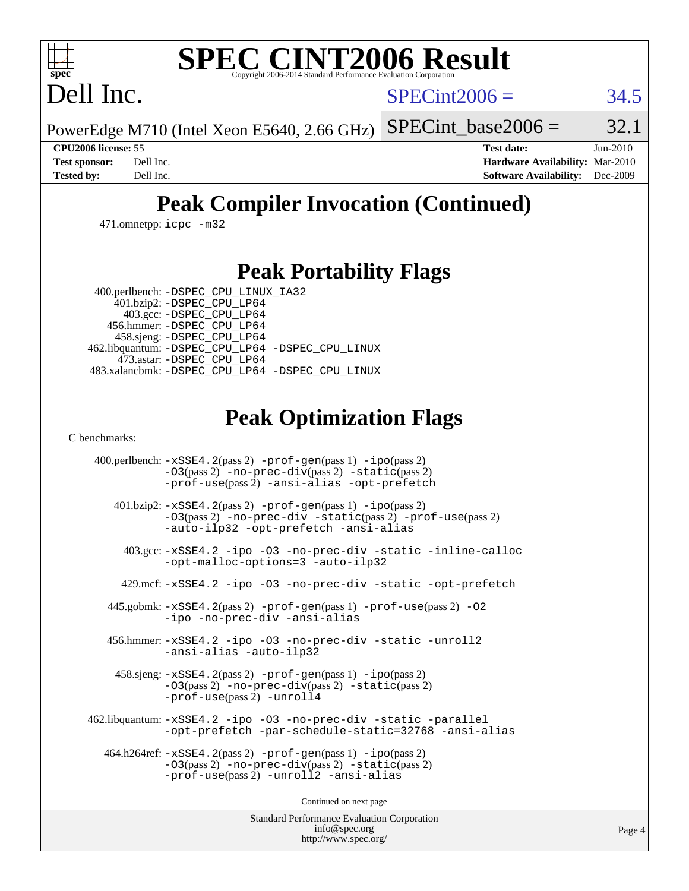# **[SPEC CINT2006 Result](http://www.spec.org/auto/cpu2006/Docs/result-fields.html#SPECCINT2006Result)**

Dell Inc.

 $SPECint2006 = 34.5$  $SPECint2006 = 34.5$ 

PowerEdge M710 (Intel Xeon E5640, 2.66 GHz) SPECint base2006 =  $32.1$ 

**[CPU2006 license:](http://www.spec.org/auto/cpu2006/Docs/result-fields.html#CPU2006license)** 55 **[Test date:](http://www.spec.org/auto/cpu2006/Docs/result-fields.html#Testdate)** Jun-2010 **[Test sponsor:](http://www.spec.org/auto/cpu2006/Docs/result-fields.html#Testsponsor)** Dell Inc. **[Hardware Availability:](http://www.spec.org/auto/cpu2006/Docs/result-fields.html#HardwareAvailability)** Mar-2010 **[Tested by:](http://www.spec.org/auto/cpu2006/Docs/result-fields.html#Testedby)** Dell Inc. **[Software Availability:](http://www.spec.org/auto/cpu2006/Docs/result-fields.html#SoftwareAvailability)** Dec-2009

## **[Peak Compiler Invocation \(Continued\)](http://www.spec.org/auto/cpu2006/Docs/result-fields.html#PeakCompilerInvocation)**

471.omnetpp: [icpc -m32](http://www.spec.org/cpu2006/results/res2010q3/cpu2006-20100719-12590.flags.html#user_peakCXXLD471_omnetpp_intel_icpc_32bit_4e5a5ef1a53fd332b3c49e69c3330699)

### **[Peak Portability Flags](http://www.spec.org/auto/cpu2006/Docs/result-fields.html#PeakPortabilityFlags)**

 400.perlbench: [-DSPEC\\_CPU\\_LINUX\\_IA32](http://www.spec.org/cpu2006/results/res2010q3/cpu2006-20100719-12590.flags.html#b400.perlbench_peakCPORTABILITY_DSPEC_CPU_LINUX_IA32) 401.bzip2: [-DSPEC\\_CPU\\_LP64](http://www.spec.org/cpu2006/results/res2010q3/cpu2006-20100719-12590.flags.html#suite_peakPORTABILITY401_bzip2_DSPEC_CPU_LP64)

 403.gcc: [-DSPEC\\_CPU\\_LP64](http://www.spec.org/cpu2006/results/res2010q3/cpu2006-20100719-12590.flags.html#suite_peakPORTABILITY403_gcc_DSPEC_CPU_LP64) 456.hmmer: [-DSPEC\\_CPU\\_LP64](http://www.spec.org/cpu2006/results/res2010q3/cpu2006-20100719-12590.flags.html#suite_peakPORTABILITY456_hmmer_DSPEC_CPU_LP64) 458.sjeng: [-DSPEC\\_CPU\\_LP64](http://www.spec.org/cpu2006/results/res2010q3/cpu2006-20100719-12590.flags.html#suite_peakPORTABILITY458_sjeng_DSPEC_CPU_LP64) 462.libquantum: [-DSPEC\\_CPU\\_LP64](http://www.spec.org/cpu2006/results/res2010q3/cpu2006-20100719-12590.flags.html#suite_peakPORTABILITY462_libquantum_DSPEC_CPU_LP64) [-DSPEC\\_CPU\\_LINUX](http://www.spec.org/cpu2006/results/res2010q3/cpu2006-20100719-12590.flags.html#b462.libquantum_peakCPORTABILITY_DSPEC_CPU_LINUX) 473.astar: [-DSPEC\\_CPU\\_LP64](http://www.spec.org/cpu2006/results/res2010q3/cpu2006-20100719-12590.flags.html#suite_peakPORTABILITY473_astar_DSPEC_CPU_LP64) 483.xalancbmk: [-DSPEC\\_CPU\\_LP64](http://www.spec.org/cpu2006/results/res2010q3/cpu2006-20100719-12590.flags.html#suite_peakPORTABILITY483_xalancbmk_DSPEC_CPU_LP64) [-DSPEC\\_CPU\\_LINUX](http://www.spec.org/cpu2006/results/res2010q3/cpu2006-20100719-12590.flags.html#b483.xalancbmk_peakCXXPORTABILITY_DSPEC_CPU_LINUX)

## **[Peak Optimization Flags](http://www.spec.org/auto/cpu2006/Docs/result-fields.html#PeakOptimizationFlags)**

[C benchmarks](http://www.spec.org/auto/cpu2006/Docs/result-fields.html#Cbenchmarks):

 400.perlbench: [-xSSE4.2](http://www.spec.org/cpu2006/results/res2010q3/cpu2006-20100719-12590.flags.html#user_peakPASS2_CFLAGSPASS2_LDCFLAGS400_perlbench_f-xSSE42_f91528193cf0b216347adb8b939d4107)(pass 2) [-prof-gen](http://www.spec.org/cpu2006/results/res2010q3/cpu2006-20100719-12590.flags.html#user_peakPASS1_CFLAGSPASS1_LDCFLAGS400_perlbench_prof_gen_e43856698f6ca7b7e442dfd80e94a8fc)(pass 1) [-ipo](http://www.spec.org/cpu2006/results/res2010q3/cpu2006-20100719-12590.flags.html#user_peakPASS2_CFLAGSPASS2_LDCFLAGS400_perlbench_f-ipo)(pass 2) [-O3](http://www.spec.org/cpu2006/results/res2010q3/cpu2006-20100719-12590.flags.html#user_peakPASS2_CFLAGSPASS2_LDCFLAGS400_perlbench_f-O3)(pass 2) [-no-prec-div](http://www.spec.org/cpu2006/results/res2010q3/cpu2006-20100719-12590.flags.html#user_peakPASS2_CFLAGSPASS2_LDCFLAGS400_perlbench_f-no-prec-div)(pass 2) [-static](http://www.spec.org/cpu2006/results/res2010q3/cpu2006-20100719-12590.flags.html#user_peakPASS2_CFLAGSPASS2_LDCFLAGS400_perlbench_f-static)(pass 2) [-prof-use](http://www.spec.org/cpu2006/results/res2010q3/cpu2006-20100719-12590.flags.html#user_peakPASS2_CFLAGSPASS2_LDCFLAGS400_perlbench_prof_use_bccf7792157ff70d64e32fe3e1250b55)(pass 2) [-ansi-alias](http://www.spec.org/cpu2006/results/res2010q3/cpu2006-20100719-12590.flags.html#user_peakCOPTIMIZE400_perlbench_f-ansi-alias) [-opt-prefetch](http://www.spec.org/cpu2006/results/res2010q3/cpu2006-20100719-12590.flags.html#user_peakCOPTIMIZE400_perlbench_f-opt-prefetch) 401.bzip2: [-xSSE4.2](http://www.spec.org/cpu2006/results/res2010q3/cpu2006-20100719-12590.flags.html#user_peakPASS2_CFLAGSPASS2_LDCFLAGS401_bzip2_f-xSSE42_f91528193cf0b216347adb8b939d4107)(pass 2) [-prof-gen](http://www.spec.org/cpu2006/results/res2010q3/cpu2006-20100719-12590.flags.html#user_peakPASS1_CFLAGSPASS1_LDCFLAGS401_bzip2_prof_gen_e43856698f6ca7b7e442dfd80e94a8fc)(pass 1) [-ipo](http://www.spec.org/cpu2006/results/res2010q3/cpu2006-20100719-12590.flags.html#user_peakPASS2_CFLAGSPASS2_LDCFLAGS401_bzip2_f-ipo)(pass 2) [-O3](http://www.spec.org/cpu2006/results/res2010q3/cpu2006-20100719-12590.flags.html#user_peakPASS2_CFLAGSPASS2_LDCFLAGS401_bzip2_f-O3)(pass 2) [-no-prec-div](http://www.spec.org/cpu2006/results/res2010q3/cpu2006-20100719-12590.flags.html#user_peakCOPTIMIZEPASS2_CFLAGSPASS2_LDCFLAGS401_bzip2_f-no-prec-div) [-static](http://www.spec.org/cpu2006/results/res2010q3/cpu2006-20100719-12590.flags.html#user_peakPASS2_CFLAGSPASS2_LDCFLAGS401_bzip2_f-static)(pass 2) [-prof-use](http://www.spec.org/cpu2006/results/res2010q3/cpu2006-20100719-12590.flags.html#user_peakPASS2_CFLAGSPASS2_LDCFLAGS401_bzip2_prof_use_bccf7792157ff70d64e32fe3e1250b55)(pass 2) [-auto-ilp32](http://www.spec.org/cpu2006/results/res2010q3/cpu2006-20100719-12590.flags.html#user_peakCOPTIMIZE401_bzip2_f-auto-ilp32) [-opt-prefetch](http://www.spec.org/cpu2006/results/res2010q3/cpu2006-20100719-12590.flags.html#user_peakCOPTIMIZE401_bzip2_f-opt-prefetch) [-ansi-alias](http://www.spec.org/cpu2006/results/res2010q3/cpu2006-20100719-12590.flags.html#user_peakCOPTIMIZE401_bzip2_f-ansi-alias) 403.gcc: [-xSSE4.2](http://www.spec.org/cpu2006/results/res2010q3/cpu2006-20100719-12590.flags.html#user_peakCOPTIMIZE403_gcc_f-xSSE42_f91528193cf0b216347adb8b939d4107) [-ipo](http://www.spec.org/cpu2006/results/res2010q3/cpu2006-20100719-12590.flags.html#user_peakCOPTIMIZE403_gcc_f-ipo) [-O3](http://www.spec.org/cpu2006/results/res2010q3/cpu2006-20100719-12590.flags.html#user_peakCOPTIMIZE403_gcc_f-O3) [-no-prec-div](http://www.spec.org/cpu2006/results/res2010q3/cpu2006-20100719-12590.flags.html#user_peakCOPTIMIZE403_gcc_f-no-prec-div) [-static](http://www.spec.org/cpu2006/results/res2010q3/cpu2006-20100719-12590.flags.html#user_peakCOPTIMIZE403_gcc_f-static) [-inline-calloc](http://www.spec.org/cpu2006/results/res2010q3/cpu2006-20100719-12590.flags.html#user_peakCOPTIMIZE403_gcc_f-inline-calloc) [-opt-malloc-options=3](http://www.spec.org/cpu2006/results/res2010q3/cpu2006-20100719-12590.flags.html#user_peakCOPTIMIZE403_gcc_f-opt-malloc-options_13ab9b803cf986b4ee62f0a5998c2238) [-auto-ilp32](http://www.spec.org/cpu2006/results/res2010q3/cpu2006-20100719-12590.flags.html#user_peakCOPTIMIZE403_gcc_f-auto-ilp32) 429.mcf: [-xSSE4.2](http://www.spec.org/cpu2006/results/res2010q3/cpu2006-20100719-12590.flags.html#user_peakCOPTIMIZE429_mcf_f-xSSE42_f91528193cf0b216347adb8b939d4107) [-ipo](http://www.spec.org/cpu2006/results/res2010q3/cpu2006-20100719-12590.flags.html#user_peakCOPTIMIZE429_mcf_f-ipo) [-O3](http://www.spec.org/cpu2006/results/res2010q3/cpu2006-20100719-12590.flags.html#user_peakCOPTIMIZE429_mcf_f-O3) [-no-prec-div](http://www.spec.org/cpu2006/results/res2010q3/cpu2006-20100719-12590.flags.html#user_peakCOPTIMIZE429_mcf_f-no-prec-div) [-static](http://www.spec.org/cpu2006/results/res2010q3/cpu2006-20100719-12590.flags.html#user_peakCOPTIMIZE429_mcf_f-static) [-opt-prefetch](http://www.spec.org/cpu2006/results/res2010q3/cpu2006-20100719-12590.flags.html#user_peakCOPTIMIZE429_mcf_f-opt-prefetch) 445.gobmk: [-xSSE4.2](http://www.spec.org/cpu2006/results/res2010q3/cpu2006-20100719-12590.flags.html#user_peakPASS2_CFLAGSPASS2_LDCFLAGS445_gobmk_f-xSSE42_f91528193cf0b216347adb8b939d4107)(pass 2) [-prof-gen](http://www.spec.org/cpu2006/results/res2010q3/cpu2006-20100719-12590.flags.html#user_peakPASS1_CFLAGSPASS1_LDCFLAGS445_gobmk_prof_gen_e43856698f6ca7b7e442dfd80e94a8fc)(pass 1) [-prof-use](http://www.spec.org/cpu2006/results/res2010q3/cpu2006-20100719-12590.flags.html#user_peakPASS2_CFLAGSPASS2_LDCFLAGS445_gobmk_prof_use_bccf7792157ff70d64e32fe3e1250b55)(pass 2) [-O2](http://www.spec.org/cpu2006/results/res2010q3/cpu2006-20100719-12590.flags.html#user_peakCOPTIMIZE445_gobmk_f-O2) [-ipo](http://www.spec.org/cpu2006/results/res2010q3/cpu2006-20100719-12590.flags.html#user_peakCOPTIMIZE445_gobmk_f-ipo) [-no-prec-div](http://www.spec.org/cpu2006/results/res2010q3/cpu2006-20100719-12590.flags.html#user_peakCOPTIMIZE445_gobmk_f-no-prec-div) [-ansi-alias](http://www.spec.org/cpu2006/results/res2010q3/cpu2006-20100719-12590.flags.html#user_peakCOPTIMIZE445_gobmk_f-ansi-alias) 456.hmmer: [-xSSE4.2](http://www.spec.org/cpu2006/results/res2010q3/cpu2006-20100719-12590.flags.html#user_peakCOPTIMIZE456_hmmer_f-xSSE42_f91528193cf0b216347adb8b939d4107) [-ipo](http://www.spec.org/cpu2006/results/res2010q3/cpu2006-20100719-12590.flags.html#user_peakCOPTIMIZE456_hmmer_f-ipo) [-O3](http://www.spec.org/cpu2006/results/res2010q3/cpu2006-20100719-12590.flags.html#user_peakCOPTIMIZE456_hmmer_f-O3) [-no-prec-div](http://www.spec.org/cpu2006/results/res2010q3/cpu2006-20100719-12590.flags.html#user_peakCOPTIMIZE456_hmmer_f-no-prec-div) [-static](http://www.spec.org/cpu2006/results/res2010q3/cpu2006-20100719-12590.flags.html#user_peakCOPTIMIZE456_hmmer_f-static) [-unroll2](http://www.spec.org/cpu2006/results/res2010q3/cpu2006-20100719-12590.flags.html#user_peakCOPTIMIZE456_hmmer_f-unroll_784dae83bebfb236979b41d2422d7ec2) [-ansi-alias](http://www.spec.org/cpu2006/results/res2010q3/cpu2006-20100719-12590.flags.html#user_peakCOPTIMIZE456_hmmer_f-ansi-alias) [-auto-ilp32](http://www.spec.org/cpu2006/results/res2010q3/cpu2006-20100719-12590.flags.html#user_peakCOPTIMIZE456_hmmer_f-auto-ilp32) 458.sjeng: [-xSSE4.2](http://www.spec.org/cpu2006/results/res2010q3/cpu2006-20100719-12590.flags.html#user_peakPASS2_CFLAGSPASS2_LDCFLAGS458_sjeng_f-xSSE42_f91528193cf0b216347adb8b939d4107)(pass 2) [-prof-gen](http://www.spec.org/cpu2006/results/res2010q3/cpu2006-20100719-12590.flags.html#user_peakPASS1_CFLAGSPASS1_LDCFLAGS458_sjeng_prof_gen_e43856698f6ca7b7e442dfd80e94a8fc)(pass 1) [-ipo](http://www.spec.org/cpu2006/results/res2010q3/cpu2006-20100719-12590.flags.html#user_peakPASS2_CFLAGSPASS2_LDCFLAGS458_sjeng_f-ipo)(pass 2) [-O3](http://www.spec.org/cpu2006/results/res2010q3/cpu2006-20100719-12590.flags.html#user_peakPASS2_CFLAGSPASS2_LDCFLAGS458_sjeng_f-O3)(pass 2) [-no-prec-div](http://www.spec.org/cpu2006/results/res2010q3/cpu2006-20100719-12590.flags.html#user_peakPASS2_CFLAGSPASS2_LDCFLAGS458_sjeng_f-no-prec-div)(pass 2) [-static](http://www.spec.org/cpu2006/results/res2010q3/cpu2006-20100719-12590.flags.html#user_peakPASS2_CFLAGSPASS2_LDCFLAGS458_sjeng_f-static)(pass 2) [-prof-use](http://www.spec.org/cpu2006/results/res2010q3/cpu2006-20100719-12590.flags.html#user_peakPASS2_CFLAGSPASS2_LDCFLAGS458_sjeng_prof_use_bccf7792157ff70d64e32fe3e1250b55)(pass 2) [-unroll4](http://www.spec.org/cpu2006/results/res2010q3/cpu2006-20100719-12590.flags.html#user_peakCOPTIMIZE458_sjeng_f-unroll_4e5e4ed65b7fd20bdcd365bec371b81f) 462.libquantum: [-xSSE4.2](http://www.spec.org/cpu2006/results/res2010q3/cpu2006-20100719-12590.flags.html#user_peakCOPTIMIZE462_libquantum_f-xSSE42_f91528193cf0b216347adb8b939d4107) [-ipo](http://www.spec.org/cpu2006/results/res2010q3/cpu2006-20100719-12590.flags.html#user_peakCOPTIMIZE462_libquantum_f-ipo) [-O3](http://www.spec.org/cpu2006/results/res2010q3/cpu2006-20100719-12590.flags.html#user_peakCOPTIMIZE462_libquantum_f-O3) [-no-prec-div](http://www.spec.org/cpu2006/results/res2010q3/cpu2006-20100719-12590.flags.html#user_peakCOPTIMIZE462_libquantum_f-no-prec-div) [-static](http://www.spec.org/cpu2006/results/res2010q3/cpu2006-20100719-12590.flags.html#user_peakCOPTIMIZE462_libquantum_f-static) [-parallel](http://www.spec.org/cpu2006/results/res2010q3/cpu2006-20100719-12590.flags.html#user_peakCOPTIMIZE462_libquantum_f-parallel) [-opt-prefetch](http://www.spec.org/cpu2006/results/res2010q3/cpu2006-20100719-12590.flags.html#user_peakCOPTIMIZE462_libquantum_f-opt-prefetch) [-par-schedule-static=32768](http://www.spec.org/cpu2006/results/res2010q3/cpu2006-20100719-12590.flags.html#user_peakCOPTIMIZE462_libquantum_f-par-schedule_9386bcd99ba64e99ee01d1aafefddd14) [-ansi-alias](http://www.spec.org/cpu2006/results/res2010q3/cpu2006-20100719-12590.flags.html#user_peakCOPTIMIZE462_libquantum_f-ansi-alias) 464.h264ref: [-xSSE4.2](http://www.spec.org/cpu2006/results/res2010q3/cpu2006-20100719-12590.flags.html#user_peakPASS2_CFLAGSPASS2_LDCFLAGS464_h264ref_f-xSSE42_f91528193cf0b216347adb8b939d4107)(pass 2) [-prof-gen](http://www.spec.org/cpu2006/results/res2010q3/cpu2006-20100719-12590.flags.html#user_peakPASS1_CFLAGSPASS1_LDCFLAGS464_h264ref_prof_gen_e43856698f6ca7b7e442dfd80e94a8fc)(pass 1) [-ipo](http://www.spec.org/cpu2006/results/res2010q3/cpu2006-20100719-12590.flags.html#user_peakPASS2_CFLAGSPASS2_LDCFLAGS464_h264ref_f-ipo)(pass 2) [-O3](http://www.spec.org/cpu2006/results/res2010q3/cpu2006-20100719-12590.flags.html#user_peakPASS2_CFLAGSPASS2_LDCFLAGS464_h264ref_f-O3)(pass 2) [-no-prec-div](http://www.spec.org/cpu2006/results/res2010q3/cpu2006-20100719-12590.flags.html#user_peakPASS2_CFLAGSPASS2_LDCFLAGS464_h264ref_f-no-prec-div)(pass 2) [-static](http://www.spec.org/cpu2006/results/res2010q3/cpu2006-20100719-12590.flags.html#user_peakPASS2_CFLAGSPASS2_LDCFLAGS464_h264ref_f-static)(pass 2) [-prof-use](http://www.spec.org/cpu2006/results/res2010q3/cpu2006-20100719-12590.flags.html#user_peakPASS2_CFLAGSPASS2_LDCFLAGS464_h264ref_prof_use_bccf7792157ff70d64e32fe3e1250b55)(pass 2) [-unroll2](http://www.spec.org/cpu2006/results/res2010q3/cpu2006-20100719-12590.flags.html#user_peakCOPTIMIZE464_h264ref_f-unroll_784dae83bebfb236979b41d2422d7ec2) [-ansi-alias](http://www.spec.org/cpu2006/results/res2010q3/cpu2006-20100719-12590.flags.html#user_peakCOPTIMIZE464_h264ref_f-ansi-alias)

Continued on next page

Standard Performance Evaluation Corporation [info@spec.org](mailto:info@spec.org) <http://www.spec.org/>